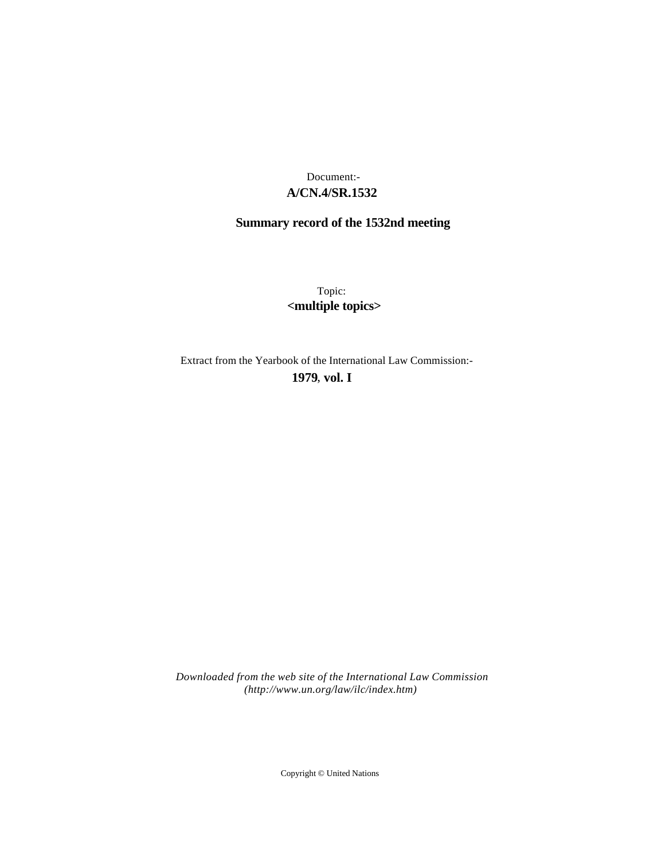## **A/CN.4/SR.1532** Document:-

# **Summary record of the 1532nd meeting**

Topic: **<multiple topics>**

Extract from the Yearbook of the International Law Commission:-

**1979** , **vol. I**

*Downloaded from the web site of the International Law Commission (http://www.un.org/law/ilc/index.htm)*

Copyright © United Nations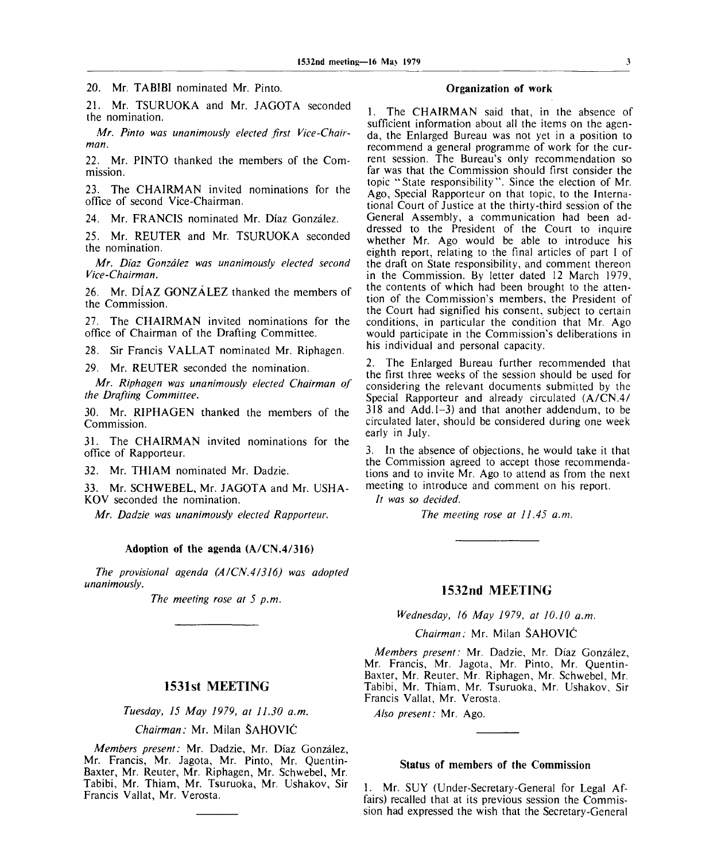20. Mr. TABIBI nominated Mr. Pinto.

21. Mr. TSURUOKA and Mr. JAGOTA seconded the nomination.

*Mr. Pinto was unanimously elected first Vice-Chairman.*

22. Mr. PINTO thanked the members of the Commission.

23. The CHAIRMAN invited nominations for the office of second Vice-Chairman.

24. Mr. FRANCIS nominated Mr. Diaz Gonzalez.

25. Mr. REUTER and Mr. TSURUOKA seconded the nomination.

*Mr. Diaz Gonzalez was unanimously elected second Vice-Chairman.*

26. Mr. DIAZ GONZALEZ thanked the members of the Commission.

27. The CHAIRMAN invited nominations for the office of Chairman of the Drafting Committee.

28. Sir Francis VALLAT nominated Mr. Riphagen.

29. Mr. REUTER seconded the nomination.

*Mr. Riphagen was unanimously elected Chairman of the Drafting Committee.*

30. Mr. RIPHAGEN thanked the members of the Commission.

31. The CHAIRMAN invited nominations for the office of Rapporteur.

32. Mr. THIAM nominated Mr. Dadzie.

33. Mr. SCHWEBEL, Mr. JAGOTA and Mr. USHA-KOV seconded the nomination.

*Mr. Dadzie was unanimously elected Rapporteur.*

#### **Adoption of the agenda (A/CN.4/316)**

*The provisional agenda (A/CN.4/316) was adopted unanimously.*

*The meeting rose at 5 p.m.*

## **1531st MEETING**

*Tuesday, 15 May 1979, at 11.30 a.m.*

*Chairman:* Mr. Milan SAHOVIC

*Members present:* Mr. Dadzie, Mr. Diaz Gonzalez, Mr. Francis, Mr. Jagota, Mr. Pinto, Mr. Quentin-Baxter, Mr. Reuter, Mr. Riphagen, Mr. Schwebel, Mr. Tabibi, Mr. Thiam, Mr. Tsuruoka, Mr. Ushakov, Sir Francis Vallat, Mr. Verosta.

## **Organization of work**

1. The CHAIRMAN said that, in the absence of sufficient information about all the items on the agenda, the Enlarged Bureau was not yet in a position to recommend a general programme of work for the current session. The Bureau's only recommendation so far was that the Commission should first consider the topic "State responsibility". Since the election of Mr. Ago, Special Rapporteur on that topic, to the International Court of Justice at the thirty-third session of the General Assembly., a communication had been addressed to the President of the Court to inquire whether Mr. Ago would be able to introduce his eighth report, relating to the final articles of part I of the draft on State responsibility, and comment thereon in the Commission. By letter dated 12 March 1979, the contents of which had been brought to the attention of the Commission's members, the President of the Court had signified his consent, subject to certain conditions, in particular the condition that Mr. Ago would participate in the Commission's deliberations in his individual and personal capacity.

2. The Enlarged Bureau further recommended that the first three weeks of the session should be used for considering the relevant documents submitted by the Special Rapporteur and already circulated (A/CN.4/  $318$  and Add.  $1-3$ ) and that another addendum, to be circulated later, should be considered during one week early in July.

3. In the absence of objections, he would take it that the Commission agreed to accept those recommendations and to invite Mr. Ago to attend as from the next meeting to introduce and comment on his report.

*It was so decided.*

*The meeting rose at 11.45 a.m.*

## **1532nd MEETING**

*Wednesday, 16 May 1979, at 10.10 a.m.*

*Chairman:* Mr. Milan SAHOVIC

*Members present:* Mr. Dadzie, Mr. Diaz Gonzalez, Mr. Francis, Mr. Jagota, Mr. Pinto, Mr. Quentin-Baxter, Mr. Reuter., Mr. Riphagen, Mr. Schwebel, Mr. Tabibi, Mr. Thiam, Mr. Tsuruoka, Mr. Ushakov, Sir Francis Vallat, Mr. Verosta.

*Also present:* Mr. Ago.

## **Status of members of the Commission**

1. Mr. SUY (Under-Secretary-General for Legal Affairs) recalled that at its previous session the Commission had expressed the wish that the Secretary-General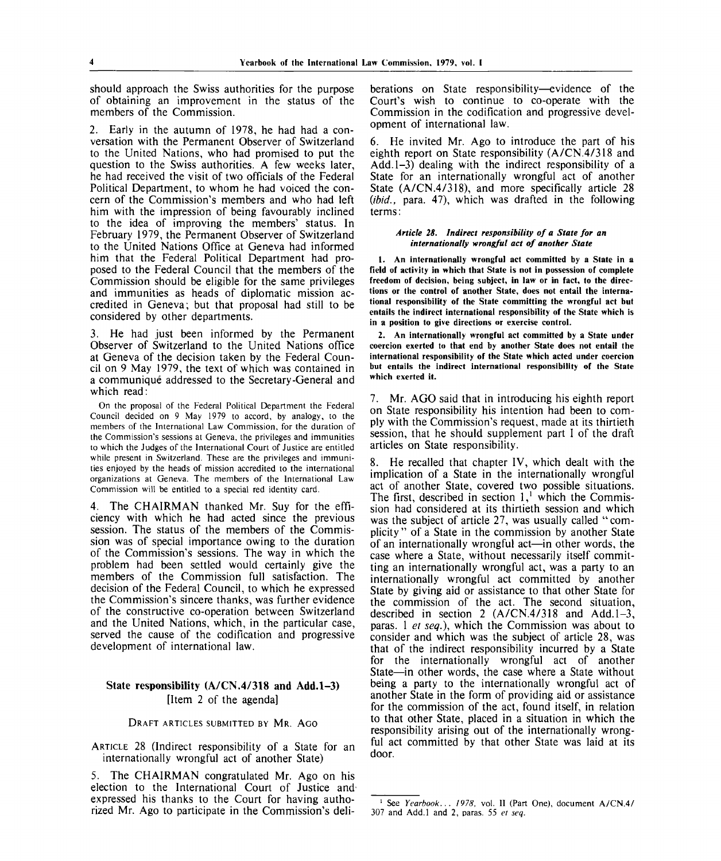should approach the Swiss authorities for the purpose of obtaining an improvement in the status of the members of the Commission.

2. Early in the autumn of 1978, he had had a conversation with the Permanent Observer of Switzerland to the United Nations, who had promised to put the question to the Swiss authorities. A few weeks later, he had received the visit of two officials of the Federal Political Department, to whom he had voiced the concern of the Commission's members and who had left him with the impression of being favourably inclined to the idea of improving the members' status. In February 1979, the Permanent Observer of Switzerland to the United Nations Office at Geneva had informed him that the Federal Political Department had proposed to the Federal Council that the members of the Commission should be eligible for the same privileges and immunities as heads of diplomatic mission accredited in Geneva; but that proposal had still to be considered by other departments.

3. He had just been informed by the Permanent Observer of Switzerland to the United Nations office at Geneva of the decision taken by the Federal Council on 9 May 1979, the text of which was contained in a communique addressed to the Secretary-General and which read:

On the proposal of the Federal Political Department the Federal Council decided on 9 May 1979 to accord, by analogy, to the members of the International Law Commission, for the duration of the Commission's sessions at Geneva, the privileges and immunities to which the Judges of the International Court of Justice are entitled while present in Switzerland. These are the privileges and immunities enjoyed by the heads of mission accredited to the international organizations at Geneva. The members of the International Law Commission will be entitled to a special red identity card.

4. The CHAIRMAN thanked Mr. Suy for the efficiency with which he had acted since the previous session. The status of the members of the Commission was of special importance owing to the duration of the Commission's sessions. The way in which the problem had been settled would certainly give the members of the Commission full satisfaction. The decision of the Federal Council, to which he expressed the Commission's sincere thanks, was further evidence of the constructive co-operation between Switzerland and the United Nations, which, in the particular case, served the cause of the codification and progressive development of international law.

## **State responsibility (A/CN.4/318 and Add. 1-3)** [Item 2 of the agenda]

#### DRAFT ARTICLES SUBMITTED BY MR. AGO

ARTICLE 28 (Indirect responsibility of a State for an internationally wrongful act of another State)

5. The CHAIRMAN congratulated Mr. Ago on his election to the International Court of Justice and expressed his thanks to the Court for having authorized Mr. Ago to participate in the Commission's deliberations on State responsibility—evidence of the Court's wish to continue to co-operate with the Commission in the codification and progressive development of international law.

6. He invited Mr. Ago to introduce the part of his eighth report on State responsibility (A/CN.4/318 and Add. 1-3) dealing with the indirect responsibility of a State for an internationally wrongful act of another State (A/CN.4/318), and more specifically article 28 *{ibid.,* para. 47), which was drafted in the following terms:

#### *Article 28. Indirect responsibility of a State for an internationally wrongful act of another State*

**1. An internationally wrongful act committed by a State in a field of activity in which that State is not in possession of complete freedom of decision, being subject, in law or in fact, to the directions or the control of another State, does not entail the international responsibility of the State committing the wrongful act but entails the indirect international responsibility of the State which is in a position to give directions or exercise control.**

**2. An internationally wrongful act committed by a State under coercion exerted to that end by another State does not entail the international responsibility of the State which acted under coercion but entails the indirect international responsibility of the State which exerted it.**

7. Mr. AGO said that in introducing his eighth report on State responsibility his intention had been to comply with the Commission's request, made at its thirtieth session, that he should supplement part I of the draft articles on State responsibility.

8. He recalled that chapter IV, which dealt with the implication of a State in the internationally wrongful act of another State, covered two possible situations. The first, described in section  $1<sup>1</sup>$  which the Commission had considered at its thirtieth session and which was the subject of article 27, was usually called "complicity " of a State in the commission by another State of an internationally wrongful act—in other words, the case where a State, without necessarily itself committing an internationally wrongful act, was a party to an internationally wrongful act committed by another State by giving aid or assistance to that other State for the commission of the act. The second situation, described in section 2  $(A/CN.4/318$  and Add. 1-3, paras. 1 *et seq.),* which the Commission was about to consider and which was the subject of article 28, was that of the indirect responsibility incurred by a State for the internationally wrongful act of another State—in other words, the case where a State without being a party to the internationally wrongful act of another State in the form of providing aid or assistance for the commission of the act, found itself, in relation to that other State, placed in a situation in which the responsibility arising out of the internationally wrongful act committed by that other State was laid at its door.

<sup>1</sup> See *Yearbook... 1978,* vol. II (Part One), document A/CN.4/ 307 and Add.l and 2, paras. 55 *et seq.*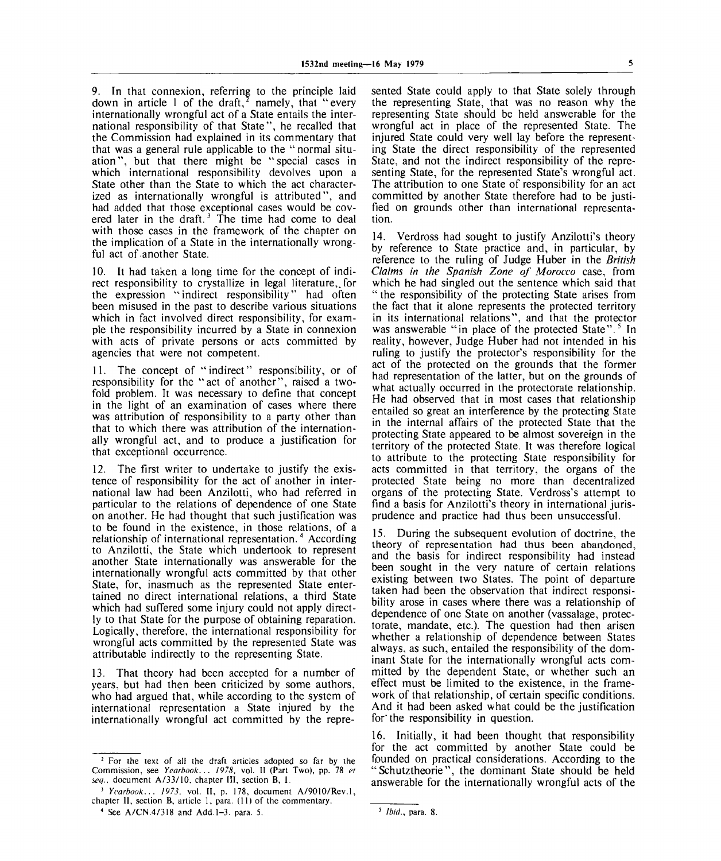9. In that connexion, referring to the principle laid down in article 1 of the draft,<sup>2</sup> namely, that "every internationally wrongful act of a State entails the international responsibility of that State", he recalled that the Commission had explained in its commentary that that was a general rule applicable to the " normal situation", but that there might be "special cases in which international responsibility devolves upon a State other than the State to which the act characterized as internationally wrongful is attributed", and had added that those exceptional cases would be covered later in the draft.<sup>3</sup> The time had come to deal with those cases in the framework of the chapter on the implication of a State in the internationally wrongful act of another State.

10. It had taken a long time for the concept of indirect responsibility to crystallize in legal literature,, for the expression "indirect responsibility" had often been misused in the past to describe various situations which in fact involved direct responsibility, for example the responsibility incurred by a State in connexion with acts of private persons or acts committed by agencies that were not competent.

11. The concept of "indirect" responsibility, or of responsibility for the "act of another", raised a twofold problem. It was necessary to define that concept in the light of an examination of cases where there was attribution of responsibility to a party other than that to which there was attribution of the internationally wrongful act, and to produce a justification for that exceptional occurrence.

12. The first writer to undertake to justify the existence of responsibility for the act of another in international law had been Anzilotti, who had referred in particular to the relations of dependence of one State on another. He had thought that such justification was to be found in the existence, in those relations, of a relationship of international representation.<sup>4</sup> According to Anzilotti, the State which undertook to represent another State internationally was answerable for the internationally wrongful acts committed by that other State, for, inasmuch as the represented State entertained no direct international relations, a third State which had suffered some injury could not apply directly to that State for the purpose of obtaining reparation. Logically, therefore, the international responsibility for wrongful acts committed by the represented State was attributable indirectly to the representing State.

13. That theory had been accepted for a number of years, but had then been criticized by some authors, who had argued that, while according to the system of international representation a State injured by the internationally wrongful act committed by the repre-

<sup>2</sup> For the text of all the draft articles adopted so far by the Commission, see *Yearbook... 1978,* vol. **II** (Part Two), pp. 78 *et see/.,* document A/33/10, chapter **III,** section B, 1.

3  *Yearbook... 1973,* vol. **II,** p. 178, document A/9010/Rev.l, chapter **II,** section B, article 1, para. (11) of the commentary.

4 See A/CN.4/318 and Add. 1-3. para. 5.

sented State could apply to that State solely through the representing State, that was no reason why the representing State should be held answerable for the wrongful act in place of the represented State. The injured State could very well lay before the representing State the direct responsibility of the represented State, and not the indirect responsibility of the representing State, for the represented State's wrongful act. The attribution to one State of responsibility for an act committed by another State therefore had to be justified on grounds other than international representation.

14. Verdross had sought to justify Anzilotti's theory by reference to State practice and, in particular, by reference to the ruling of Judge Huber in the *British Claims in the Spanish Zone of Morocco* case, from which he had singled out the sentence which said that " the responsibility of the protecting State arises from the fact that it alone represents the protected territory in its international relations", and that the protector was answerable "in place of the protected State".<sup>5</sup> In reality, however, Judge Huber had not intended in his ruling to justify the protector's responsibility for the act of the protected on the grounds that the former had representation of the latter, but on the grounds of what actually occurred in the protectorate relationship. He had observed that in most cases that relationship entailed so great an interference by the protecting State in the internal affairs of the protected State that the protecting State appeared to be almost sovereign in the territory of the protected State. It was therefore logical to attribute to the protecting State responsibility for acts committed in that territory, the organs of the protected State being no more than decentralized organs of the protecting State. Verdross's attempt to find a basis for Anzilotti's theory in international jurisprudence and practice had thus been unsuccessful.

15. During the subsequent evolution of doctrine, the theory of representation had thus been abandoned, and the basis for indirect responsibility had instead been sought in the very nature of certain relations existing between two States. The point of departure taken had been the observation that indirect responsibility arose in cases where there was a relationship of dependence of one State on another (vassalage, protectorate, mandate, etc.). The question had then arisen whether a relationship of dependence between States always, as such, entailed the responsibility of the dominant State for the internationally wrongful acts committed by the dependent State, or whether such an effect must be limited to the existence, in the framework of that relationship, of certain specific conditions. And it had been asked what could be the justification for the responsibility in question.

16. Initially, it had been thought that responsibility for the act committed by another State could be founded on practical considerations. According to the "Schutztheorie", the dominant State should be held answerable for the internationally wrongful acts of the

*Ibid.,* para. 8.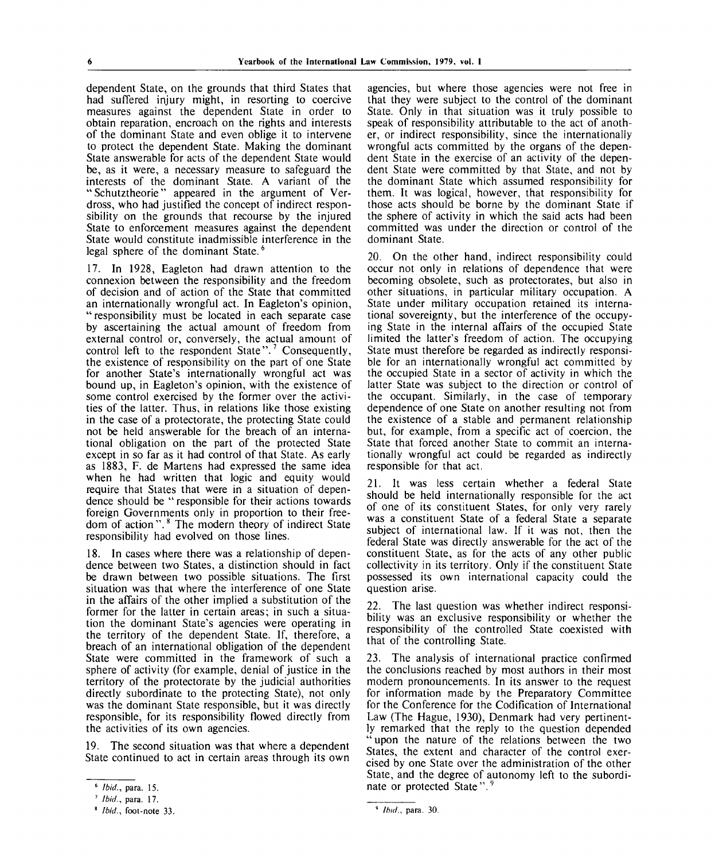dependent State, on the grounds that third States that had suffered injury might, in resorting to coercive measures against the dependent State in order to obtain reparation, encroach on the rights and interests of the dominant State and even oblige it to intervene to protect the dependent State. Making the dominant State answerable for acts of the dependent State would be, as it were, a necessary measure to safeguard the interests of the dominant State. A variant of the " Schutztheorie" appeared in the argument of Verdross, who had justified the concept of indirect responsibility on the grounds that recourse by the injured State to enforcement measures against the dependent State would constitute inadmissible interference in the legal sphere of the dominant State.<sup>6</sup>

17. In 1928, Eagleton had drawn attention to the connexion between the responsibility and the freedom of decision and of action of the State that committed an internationally wrongful act. In Eagleton's opinion, " responsibility must be located in each separate case by ascertaining the actual amount of freedom from external control or, conversely, the actual amount of enternal control of, conversely, the wall amount of control left to the respondent State".<sup>7</sup> Consequently, the existence of responsibility on the part of one State for another State's internationally wrongful act was bound up, in Eagleton's opinion, with the existence of some control exercised by the former over the activities of the latter. Thus, in relations like those existing in the case of a protectorate, the protecting State could not be held answerable for the breach of an international obligation on the part of the protected State except in so far as it had control of that State. As early as 1883, F. de Martens had expressed the same idea when he had written that logic and equity would require that States that were in a situation of dependence should be " responsible for their actions towards foreign Governments only in proportion to their freedom of action".<sup>8</sup> The modern theory of indirect State responsibility had evolved on those lines.

18. In cases where there was a relationship of dependence between two States, a distinction should in fact be drawn between two possible situations. The first situation was that where the interference of one State in the affairs of the other implied a substitution of the former for the latter in certain areas; in such a situation the dominant State's agencies were operating in the territory of the dependent State. If, therefore, a breach of an international obligation of the dependent State were committed in the framework of such a sphere of activity (for example, denial of justice in the territory of the protectorate by the judicial authorities directly subordinate to the protecting State), not only was the dominant State responsible, but it was directly responsible, for its responsibility flowed directly from the activities of its own agencies.

19. The second situation was that where a dependent State continued to act in certain areas through its own

agencies, but where those agencies were not free in that they were subject to the control of the dominant State. Only in that situation was it truly possible to speak of responsibility attributable to the act of another, or indirect responsibility, since the internationally wrongful acts committed by the organs of the dependent State in the exercise of an activity of the dependent State were committed by that State, and not by the dominant State which assumed responsibility for them. It was logical, however, that responsibility for those acts should be borne by the dominant State if the sphere of activity in which the said acts had been committed was under the direction or control of the dominant State.

20. On the other hand, indirect responsibility could occur not only in relations of dependence that were becoming obsolete, such as protectorates, but also in other situations, in particular military occupation. A State under military occupation retained its international sovereignty, but the interference of the occupying State in the internal affairs of the occupied State limited the latter's freedom of action. The occupying State must therefore be regarded as indirectly responsible for an internationally wrongful act committed by the occupied State in a sector of activity in which the latter State was subject to the direction or control of the occupant. Similarly, in the case of temporary dependence of one State on another resulting not from the existence of a stable and permanent relationship but, for example, from a specific act of coercion, the State that forced another State to commit an internationally wrongful act could be regarded as indirectly responsible for that act.

21. It was less certain whether a federal State should be held internationally responsible for the act of one of its constituent States, for only very rarely was a constituent State of a federal State a separate subject of international law. If it was not, then the federal State was directly answerable for the act of the constituent State, as for the acts of any other public collectivity in its territory. Only if the constituent State possessed its own international capacity could the question arise.

22. The last question was whether indirect responsibility was an exclusive responsibility or whether the responsibility of the controlled State coexisted with that of the controlling State.

23. The analysis of international practice confirmed the conclusions reached by most authors in their most modern pronouncements. In its answer to the request for information made by the Preparatory Committee for the Conference for the Codification of International Law (The Hague, 1930), Denmark had very pertinently remarked that the reply to the question depended " upon the nature of the relations between the two States, the extent and character of the control exercised by one State over the administration of the other State, and the degree of autonomy left to the subordinate or protected State".

*Ibid.,* **para. 15.**

*Ibid.,* **para. 17.**

*Ibid.,* **foot-note 33.**

*Ibid.,* para. 30.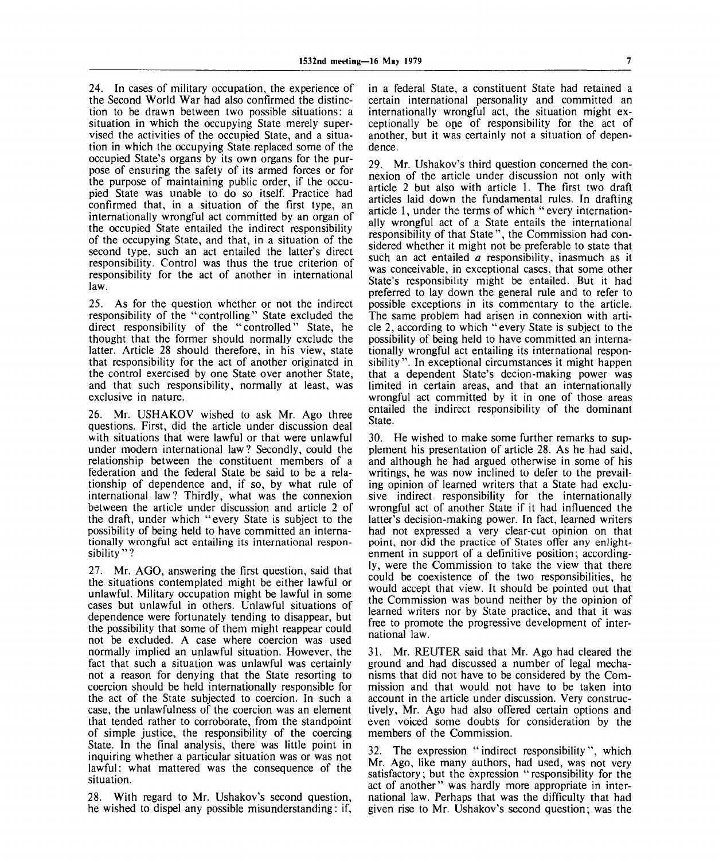24. In cases of military occupation, the experience of the Second World War had also confirmed the distinction to be drawn between two possible situations: a situation in which the occupying State merely supervised the activities of the occupied State, and a situation in which the occupying State replaced some of the occupied State's organs by its own organs for the purpose of ensuring the safety of its armed forces or for the purpose of maintaining public order, if the occupied State was unable to do so itself. Practice had confirmed that, in a situation of the first type, an internationally wrongful act committed by an organ of the occupied State entailed the indirect responsibility of the occupying State, and that, in a situation of the second type, such an act entailed the latter's direct responsibility. Control was thus the true criterion of responsibility for the act of another in international law.

25. As for the question whether or not the indirect responsibility of the "controlling" State excluded the direct responsibility of the "controlled" State, he thought that the former should normally exclude the latter. Article 28 should therefore, in his view, state that responsibility for the act of another originated in the control exercised by one State over another State, and that such responsibility, normally at least, was exclusive in nature.

26. Mr. USHAKOV wished to ask Mr. Ago three questions. First, did the article under discussion deal with situations that were lawful or that were unlawful under modern international law? Secondly, could the relationship between the constituent members of a federation and the federal State be said to be a relationship of dependence and, if so, by what rule of international law? Thirdly, what was the connexion between the article under discussion and article 2 of the draft, under which "every State is subject to the possibility of being held to have committed an internationally wrongful act entailing its international responsibility"?

27. Mr. AGO, answering the first question, said that the situations contemplated might be either lawful or unlawful. Military occupation might be lawful in some cases but unlawful in others. Unlawful situations of dependence were fortunately tending to disappear, but the possibility that some of them might reappear could not be excluded. A case where coercion was used normally implied an unlawful situation. However, the fact that such a situation was unlawful was certainly not a reason for denying that the State resorting to coercion should be held internationally responsible for the act of the State subjected to coercion. In such a case, the unlawfulness of the coercion was an element that tended rather to corroborate, from the standpoint of simple justice, the responsibility of the coercing State. In the final analysis, there was little point in inquiring whether a particular situation was or was not lawful: what mattered was the consequence of the situation.

28. With regard to Mr. Ushakov's second question, he wished to dispel any possible misunderstanding: if, in a federal State, a constituent State had retained a certain international personality and committed an internationally wrongful act, the situation might exceptionally be one of responsibility for the act of another, but it was certainly not a situation of dependence.

29. Mr. Ushakov's third question concerned the connexion of the article under discussion not only with article 2 but also with article 1. The first two draft articles laid down the fundamental rules. In drafting article 1, under the terms of which "every internationally wrongful act of a State entails the international responsibility of that State", the Commission had considered whether it might not be preferable to state that such an act entailed *a* responsibility, inasmuch as it was conceivable, in exceptional cases, that some other State's responsibility might be entailed. But it had preferred to lay down the general rule and to refer to possible exceptions in its commentary to the article. The same problem had arisen in connexion with article 2, according to which "every State is subject to the possibility of being held to have committed an internationally wrongful act entailing its international responsibility". In exceptional circumstances it might happen that a dependent State's decion-making power was limited in certain areas, and that an internationally wrongful act committed by it in one of those areas entailed the indirect responsibility of the dominant State.

30. He wished to make some further remarks to supplement his presentation of article 28. As he had said, and although he had argued otherwise in some of his writings, he was now inclined to defer to the prevailing opinion of learned writers that a State had exclusive indirect responsibility for the internationally wrongful act of another State if it had influenced the latter's decision-making power. In fact, learned writers had not expressed a very clear-cut opinion on that point, nor did the practice of States offer any enlightenment in support of a definitive position; accordingly, were the Commission to take the view that there could be coexistence of the two responsibilities, he would accept that view. It should be pointed out that the Commission was bound neither by the opinion of learned writers nor by State practice, and that it was free to promote the progressive development of international law.

31. Mr. REUTER said that Mr. Ago had cleared the ground and had discussed a number of legal mechanisms that did not have to be considered by the Commission and that would not have to be taken into account in the article under discussion. Very constructively, Mr. Ago had also offered certain options and even voiced some doubts for consideration by the members of the Commission.

32. The expression "indirect responsibility", which Mr. Ago, like many authors, had used, was not very satisfactory; but the expression "responsibility for the act of another" was hardly more appropriate in international law. Perhaps that was the difficulty that had given rise to Mr. Ushakov's second question; was the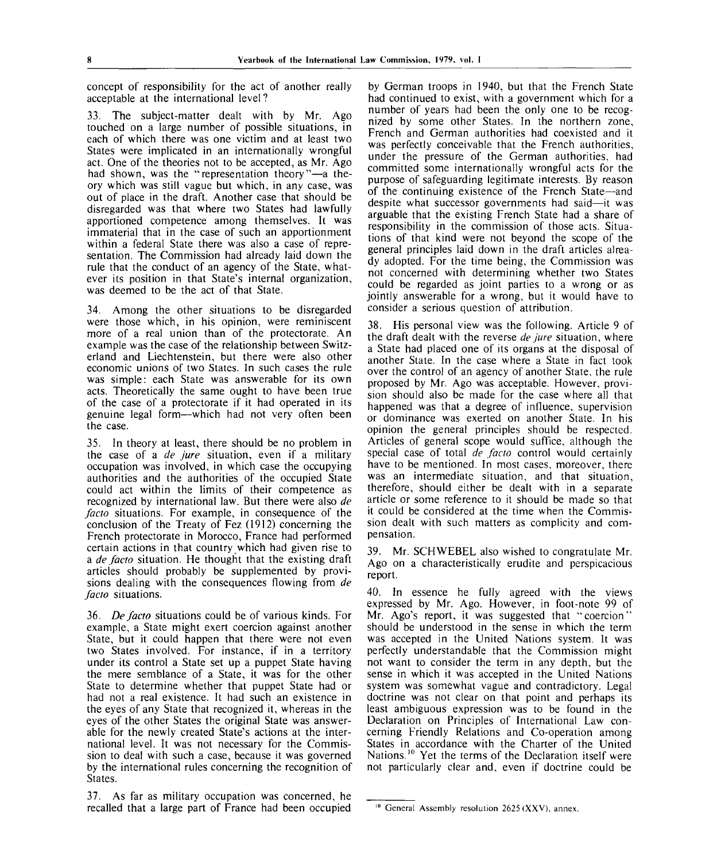concept of responsibility for the act of another really acceptable at the international level ?

33. The subject-matter dealt with by Mr. Ago touched on a large number of possible situations, in each of which there was one victim and at least two States were implicated in an internationally wrongful act. One of the theories not to be accepted, as Mr. Ago had shown, was the "representation theory"—a theory which was still vague but which, in any case, was out of place in the draft. Another case that should be disregarded was that where two States had lawfully apportioned competence among themselves. It was immaterial that in the case of such an apportionment within a federal State there was also a case of representation. The Commission had already laid down the rule that the conduct of an agency of the State, whatever its position in that State's internal organization, was deemed to be the act of that State.

34. Among the other situations to be disregarded were those which, in his opinion, were reminiscent more of a real union than of the protectorate. An example was the case of the relationship between Switzerland and Liechtenstein, but there were also other economic unions of two States. In such cases the rule was simple: each State was answerable for its own acts. Theoretically the same ought to have been true of the case of a protectorate if it had operated in its genuine legal form—which had not very often been the case.

35. In theory at least, there should be no problem in the case of a *de jure* situation, even if a military occupation was involved, in which case the occupying authorities and the authorities of the occupied State could act within the limits of their competence as recognized by international law. But there were also *de facto* situations. For example, in consequence of the conclusion of the Treaty of Fez (1912) concerning the French protectorate in Morocco, France had performed certain actions in that country which had given rise to a *de facto* situation. He thought that the existing draft articles should probably be supplemented by provisions dealing with the consequences flowing from *de facto* situations.

36. *De facto* situations could be of various kinds. For example, a State might exert coercion against another State, but it could happen that there were not even two States involved. For instance, if in a territory under its control a State set up a puppet State having the mere semblance of a State, it was for the other State to determine whether that puppet State had or had not a real existence. It had such an existence in the eyes of any State that recognized it, whereas in the eyes of the other States the original State was answerable for the newly created State's actions at the international level. It was not necessary for the Commission to deal with such a case, because it was governed by the international rules concerning the recognition of States.

37. As far as military occupation was concerned, he recalled that a large part of France had been occupied

by German troops in 1940, but that the French State had continued to exist, with a government which for a number of years had been the only one to be recognized by some other States. In the northern zone, French and German authorities had coexisted and it was perfectly conceivable that the French authorities, under the pressure of the German authorities, had committed some internationally wrongful acts for the purpose of safeguarding legitimate interests. By reason of the continuing existence of the French State—and despite what successor governments had said—it was arguable that the existing French State had a share of responsibility in the commission of those acts. Situations of that kind were not beyond the scope of the general principles laid down in the draft articles already adopted. For the time being, the Commission was not concerned with determining whether two States could be regarded as joint parties to a wrong or as jointly answerable for a wrong, but it would have to consider a serious question of attribution.

38. His personal view was the following. Article 9 of the draft dealt with the reverse *de jure* situation, where a State had placed one of its organs at the disposal of another State. In the case where a State in fact took over the control of an agency of another State, the rule proposed by Mr. Ago was acceptable. However, provision should also be made for the case where all that happened was that a degree of influence, supervision or dominance was exerted on another State. In his opinion the general principles should be respected. Articles of general scope would suffice, although the special case of total *de facto* control would certainly have to be mentioned. In most cases, moreover, there was an intermediate situation, and that situation, therefore, should either be dealt with in a separate article or some reference to it should be made so that it could be considered at the time when the Commission dealt with such matters as complicity and compensation.

39. Mr. SCHWEBEL also wished to congratulate Mr. Ago on a characteristically erudite and perspicacious report.

40. In essence he fully agreed with the views expressed by Mr. Ago. However, in foot-note 99 of Mr. Ago's report, it was suggested that "coercion" should be understood in the sense in which the term was accepted in the United Nations system. It was perfectly understandable that the Commission might not want to consider the term in any depth, but the sense in which it was accepted in the United Nations system was somewhat vague and contradictory. Legal doctrine was not clear on that point and perhaps its least ambiguous expression was to be found in the Declaration on Principles of International Law concerning Friendly Relations and Co-operation among States in accordance with the Charter of the United States in accordance with the enance of the United<br>Nations.<sup>10</sup> Yet the terms of the Declaration itself were not particularly clear and, even if doctrine could be

<sup>&</sup>lt;sup>10</sup> General Assembly resolution  $2625$  (XXV), annex.